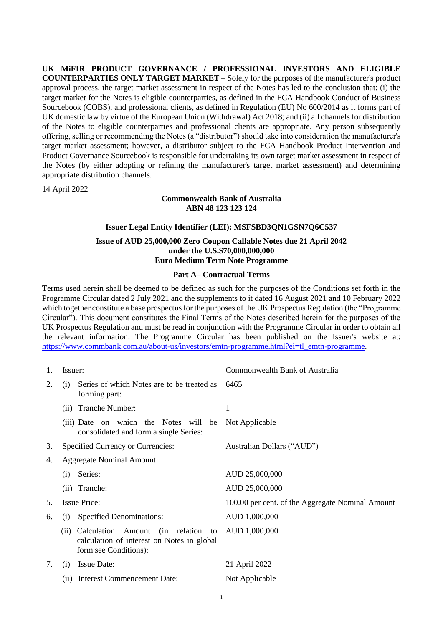**UK MiFIR PRODUCT GOVERNANCE / PROFESSIONAL INVESTORS AND ELIGIBLE COUNTERPARTIES ONLY TARGET MARKET** – Solely for the purposes of the manufacturer's product approval process, the target market assessment in respect of the Notes has led to the conclusion that: (i) the target market for the Notes is eligible counterparties, as defined in the FCA Handbook Conduct of Business Sourcebook (COBS), and professional clients, as defined in Regulation (EU) No 600/2014 as it forms part of UK domestic law by virtue of the European Union (Withdrawal) Act 2018; and (ii) all channels for distribution of the Notes to eligible counterparties and professional clients are appropriate. Any person subsequently offering, selling or recommending the Notes (a "distributor") should take into consideration the manufacturer's target market assessment; however, a distributor subject to the FCA Handbook Product Intervention and Product Governance Sourcebook is responsible for undertaking its own target market assessment in respect of the Notes (by either adopting or refining the manufacturer's target market assessment) and determining appropriate distribution channels.

14 April 2022

# **Commonwealth Bank of Australia ABN 48 123 123 124**

## **Issuer Legal Entity Identifier (LEI): MSFSBD3QN1GSN7Q6C537**

# **Issue of AUD 25,000,000 Zero Coupon Callable Notes due 21 April 2042 under the U.S.\$70,000,000,000 Euro Medium Term Note Programme**

# **Part A– Contractual Terms**

Terms used herein shall be deemed to be defined as such for the purposes of the Conditions set forth in the Programme Circular dated 2 July 2021 and the supplements to it dated 16 August 2021 and 10 February 2022 which together constitute a base prospectus for the purposes of the UK Prospectus Regulation (the "Programme Circular"). This document constitutes the Final Terms of the Notes described herein for the purposes of the UK Prospectus Regulation and must be read in conjunction with the Programme Circular in order to obtain all the relevant information. The Programme Circular has been published on the Issuer's website at: [https://www.commbank.com.au/about-us/investors/emtn-programme.html?ei=tl\\_emtn-programme.](https://www.commbank.com.au/about-us/investors/emtn-programme.html?ei=tl_emtn-programme)

| 1. | Issuer:                                                                                                           | Commonwealth Bank of Australia                   |  |
|----|-------------------------------------------------------------------------------------------------------------------|--------------------------------------------------|--|
| 2. | Series of which Notes are to be treated as<br>(i)<br>forming part:                                                | 6465                                             |  |
|    | Tranche Number:<br>(ii)                                                                                           | 1                                                |  |
|    | (iii) Date on which the Notes will be<br>consolidated and form a single Series:                                   | Not Applicable                                   |  |
| 3. | Specified Currency or Currencies:                                                                                 | Australian Dollars ("AUD")                       |  |
| 4. | <b>Aggregate Nominal Amount:</b>                                                                                  |                                                  |  |
|    | Series:<br>(i)                                                                                                    | AUD 25,000,000                                   |  |
|    | Tranche:<br>(ii)                                                                                                  | AUD 25,000,000                                   |  |
| 5. | <b>Issue Price:</b>                                                                                               | 100.00 per cent. of the Aggregate Nominal Amount |  |
| 6. | <b>Specified Denominations:</b><br>(i)                                                                            | AUD 1,000,000                                    |  |
|    | (ii) Calculation<br>Amount (in relation to<br>calculation of interest on Notes in global<br>form see Conditions): | AUD 1,000,000                                    |  |
| 7. | <b>Issue Date:</b><br>(i)                                                                                         | 21 April 2022                                    |  |
|    | (ii) Interest Commencement Date:                                                                                  | Not Applicable                                   |  |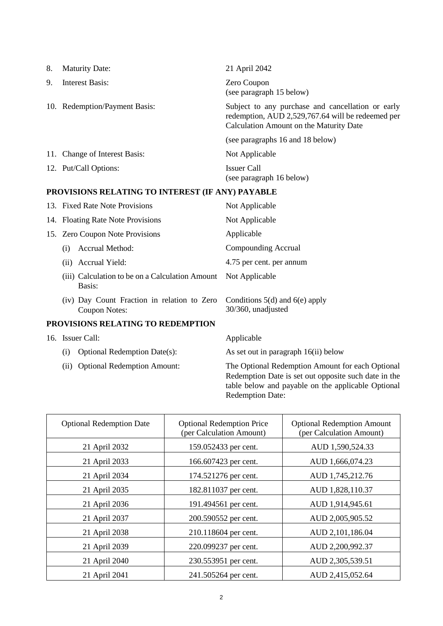| 8. | <b>Maturity Date:</b>         | 21 April 2042                                                                                                                                     |
|----|-------------------------------|---------------------------------------------------------------------------------------------------------------------------------------------------|
| 9. | Interest Basis:               | Zero Coupon<br>(see paragraph 15 below)                                                                                                           |
|    | 10. Redemption/Payment Basis: | Subject to any purchase and cancellation or early<br>redemption, AUD 2,529,767.64 will be redeemed per<br>Calculation Amount on the Maturity Date |
|    |                               | (see paragraphs 16 and 18 below)                                                                                                                  |
|    | 11. Change of Interest Basis: | Not Applicable                                                                                                                                    |
|    | 12. Put/Call Options:         | Issuer Call<br>(see paragraph 16 below)                                                                                                           |

# **PROVISIONS RELATING TO INTEREST (IF ANY) PAYABLE**

<span id="page-1-0"></span>

|                                   |     | 13. Fixed Rate Note Provisions                               | Not Applicable                                           |
|-----------------------------------|-----|--------------------------------------------------------------|----------------------------------------------------------|
|                                   |     | 14. Floating Rate Note Provisions                            | Not Applicable                                           |
|                                   |     | 15. Zero Coupon Note Provisions                              | Applicable                                               |
|                                   | (i) | Accrual Method:                                              | Compounding Accrual                                      |
|                                   |     | (ii) Accrual Yield:                                          | 4.75 per cent. per annum                                 |
|                                   |     | (iii) Calculation to be on a Calculation Amount<br>Basis:    | Not Applicable                                           |
|                                   |     | (iv) Day Count Fraction in relation to Zero<br>Coupon Notes: | Conditions $5(d)$ and $6(e)$ apply<br>30/360, unadjusted |
| PROVISIONS RELATING TO REDEMPTION |     |                                                              |                                                          |
|                                   |     | 16. Issuer Call:                                             | Applicable                                               |

- 
- 

<span id="page-1-1"></span>(i) Optional Redemption Date(s): As set out in paragraph 16(ii) below

(ii) Optional Redemption Amount: The Optional Redemption Amount for each Optional Redemption Date is set out opposite such date in the table below and payable on the applicable Optional Redemption Date:

| <b>Optional Redemption Date</b> | <b>Optional Redemption Price</b><br>(per Calculation Amount) | <b>Optional Redemption Amount</b><br>(per Calculation Amount) |
|---------------------------------|--------------------------------------------------------------|---------------------------------------------------------------|
| 21 April 2032                   | 159.052433 per cent.                                         | AUD 1,590,524.33                                              |
| 21 April 2033                   | 166.607423 per cent.                                         | AUD 1,666,074.23                                              |
| 21 April 2034                   | 174.521276 per cent.                                         | AUD 1,745,212.76                                              |
| 21 April 2035                   | 182.811037 per cent.                                         | AUD 1,828,110.37                                              |
| 21 April 2036                   | 191.494561 per cent.                                         | AUD 1,914,945.61                                              |
| 21 April 2037                   | 200.590552 per cent.                                         | AUD 2,005,905.52                                              |
| 21 April 2038                   | 210.118604 per cent.                                         | AUD 2,101,186.04                                              |
| 21 April 2039                   | 220.099237 per cent.                                         | AUD 2,200,992.37                                              |
| 21 April 2040                   | 230.553951 per cent.                                         | AUD 2,305,539.51                                              |
| 21 April 2041                   | 241.505264 per cent.                                         | AUD 2,415,052.64                                              |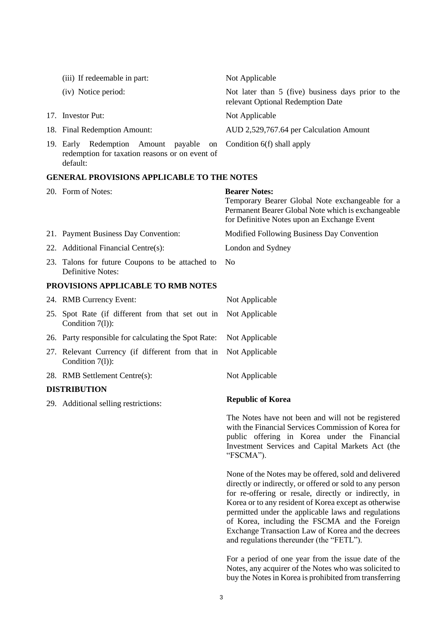| (iii) If redeemable in part:                                                                                                    | Not Applicable                                                                          |
|---------------------------------------------------------------------------------------------------------------------------------|-----------------------------------------------------------------------------------------|
| (iv) Notice period:                                                                                                             | Not later than 5 (five) business days prior to the<br>relevant Optional Redemption Date |
| 17. Investor Put:                                                                                                               | Not Applicable                                                                          |
| 18. Final Redemption Amount:                                                                                                    | AUD 2,529,767.64 per Calculation Amount                                                 |
| 19. Early Redemption Amount payable on Condition 6(f) shall apply<br>redemption for taxation reasons or on event of<br>default: |                                                                                         |

#### **GENERAL PROVISIONS APPLICABLE TO THE NOTES**

| 20. Form of Notes:                                                     | <b>Bearer Notes:</b><br>Temporary Bearer Global Note exchangeable for a<br>Permanent Bearer Global Note which is exchangeable<br>for Definitive Notes upon an Exchange Event |
|------------------------------------------------------------------------|------------------------------------------------------------------------------------------------------------------------------------------------------------------------------|
| 21. Payment Business Day Convention:                                   | Modified Following Business Day Convention                                                                                                                                   |
| 22. Additional Financial Centre(s):                                    | London and Sydney                                                                                                                                                            |
| 23. Talons for future Coupons to be attached to<br>Definitive Notes:   | N <sub>0</sub>                                                                                                                                                               |
| PROVISIONS APPLICABLE TO RMB NOTES                                     |                                                                                                                                                                              |
| 24. RMB Currency Event:                                                | Not Applicable                                                                                                                                                               |
| 25. Spot Rate (if different from that set out in<br>Condition $7(l)$ : | Not Applicable                                                                                                                                                               |
| 26. Party responsible for calculating the Spot Rate:                   | Not Applicable                                                                                                                                                               |
| 27. Relevant Currency (if different from that in<br>Condition $7(l)$ : | Not Applicable                                                                                                                                                               |
| 28. RMB Settlement Centre(s):                                          | Not Applicable                                                                                                                                                               |
| <b>DISTRIBUTION</b>                                                    |                                                                                                                                                                              |

29. Additional selling restrictions: **Republic of Korea**

The Notes have not been and will not be registered with the Financial Services Commission of Korea for public offering in Korea under the Financial Investment Services and Capital Markets Act (the "FSCMA").

None of the Notes may be offered, sold and delivered directly or indirectly, or offered or sold to any person for re-offering or resale, directly or indirectly, in Korea or to any resident of Korea except as otherwise permitted under the applicable laws and regulations of Korea, including the FSCMA and the Foreign Exchange Transaction Law of Korea and the decrees and regulations thereunder (the "FETL").

For a period of one year from the issue date of the Notes, any acquirer of the Notes who was solicited to buy the Notes in Korea is prohibited from transferring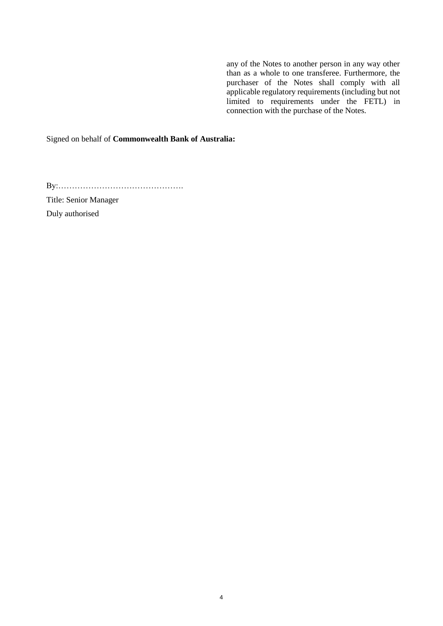any of the Notes to another person in any way other than as a whole to one transferee. Furthermore, the purchaser of the Notes shall comply with all applicable regulatory requirements (including but not limited to requirements under the FETL) in connection with the purchase of the Notes.

Signed on behalf of **Commonwealth Bank of Australia:**

By:……………………………………….

Title: Senior Manager

Duly authorised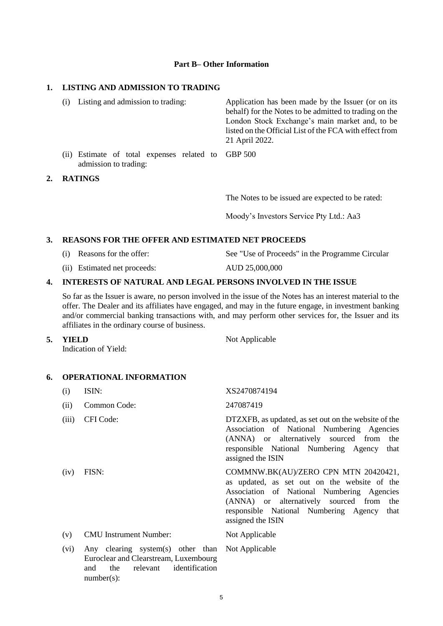#### **Part B– Other Information**

# **1. LISTING AND ADMISSION TO TRADING**

| (i)             | Listing and admission to trading:                                      | Application has been made by the Issuer (or on its<br>behalf) for the Notes to be admitted to trading on the<br>London Stock Exchange's main market and, to be<br>listed on the Official List of the FCA with effect from<br>21 April 2022. |
|-----------------|------------------------------------------------------------------------|---------------------------------------------------------------------------------------------------------------------------------------------------------------------------------------------------------------------------------------------|
| (11)            | Estimate of total expenses related to GBP 500<br>admission to trading: |                                                                                                                                                                                                                                             |
| <b>DIMINICA</b> |                                                                        |                                                                                                                                                                                                                                             |

#### **2. RATINGS**

The Notes to be issued are expected to be rated:

Moody's Investors Service Pty Ltd.: Aa3

# **3. REASONS FOR THE OFFER AND ESTIMATED NET PROCEEDS**

- (i) Reasons for the offer: See "Use of Proceeds" in the Programme Circular
- (ii) Estimated net proceeds: AUD 25,000,000

#### **4. INTERESTS OF NATURAL AND LEGAL PERSONS INVOLVED IN THE ISSUE**

So far as the Issuer is aware, no person involved in the issue of the Notes has an interest material to the offer. The Dealer and its affiliates have engaged, and may in the future engage, in investment banking and/or commercial banking transactions with, and may perform other services for, the Issuer and its affiliates in the ordinary course of business.

Not Applicable

**5. YIELD** 

Indication of Yield:

## **6. OPERATIONAL INFORMATION**

and the relevant identification

number(s):

| (i)   | ISIN:                                                                                     | XS2470874194                                                                                                                                                                                                                                         |
|-------|-------------------------------------------------------------------------------------------|------------------------------------------------------------------------------------------------------------------------------------------------------------------------------------------------------------------------------------------------------|
| (ii)  | Common Code:                                                                              | 247087419                                                                                                                                                                                                                                            |
| (iii) | CFI Code:                                                                                 | DTZXFB, as updated, as set out on the website of the<br>Association of National Numbering Agencies<br>(ANNA) or alternatively sourced from the<br>responsible National Numbering Agency that<br>assigned the ISIN                                    |
| (iv)  | FISN:                                                                                     | COMMNW.BK(AU)/ZERO CPN MTN 20420421,<br>as updated, as set out on the website of the<br>Association of National Numbering Agencies<br>(ANNA) or alternatively sourced from<br>the<br>responsible National Numbering Agency that<br>assigned the ISIN |
| (v)   | <b>CMU</b> Instrument Number:                                                             | Not Applicable                                                                                                                                                                                                                                       |
| (vi)  | Any clearing system(s) other than Not Applicable<br>Euroclear and Clearstream, Luxembourg |                                                                                                                                                                                                                                                      |